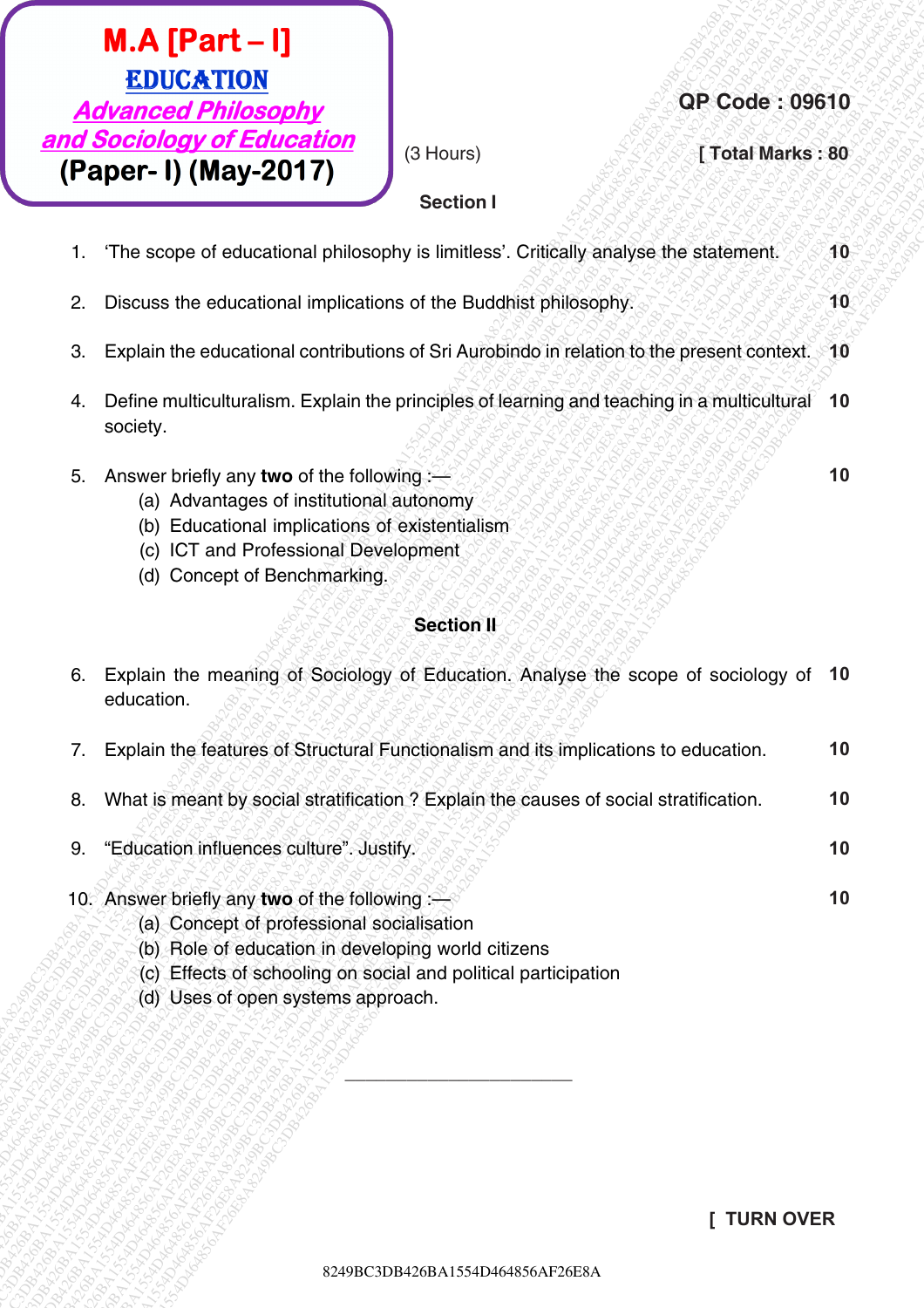#### **Section I**

| $M.A$ [Part - I]<br><b>EDUCATION</b><br><b>QP Code: 09610</b><br><b>Advanced Philosophy</b>                                                                                                                                                               |    |
|-----------------------------------------------------------------------------------------------------------------------------------------------------------------------------------------------------------------------------------------------------------|----|
| and Sociology of Education<br>(3 Hours)<br>[Total Marks: 80<br>(Paper- I) (May-2017)<br><b>Section I</b>                                                                                                                                                  |    |
| 'The scope of educational philosophy is limitless'. Critically analyse the statement.<br>1.                                                                                                                                                               | 10 |
| Discuss the educational implications of the Buddhist philosophy.<br>2.                                                                                                                                                                                    | 10 |
| Explain the educational contributions of Sri Aurobindo in relation to the present context. 10<br>З.                                                                                                                                                       |    |
| Define multiculturalism. Explain the principles of learning and teaching in a multicultural<br>4.<br>society.                                                                                                                                             | 10 |
| Answer briefly any two of the following<br>5.<br>(a) Advantages of institutional autonomy<br>(b) Educational implications of existentialism<br>(c) ICT and Professional Development<br>(d) Concept of Benchmarking.                                       | 10 |
| <b>Section II</b>                                                                                                                                                                                                                                         |    |
| Explain the meaning of Sociology of Education. Analyse the scope of sociology of 10<br>6.<br>education.                                                                                                                                                   |    |
| Explain the features of Structural Functionalism and its implications to education.<br>7.                                                                                                                                                                 | 10 |
| What is meant by social stratification? Explain the causes of social stratification.<br>8.                                                                                                                                                                | 10 |
| "Education influences culture". Justify.<br>9.                                                                                                                                                                                                            | 10 |
| 10. Answer briefly any two of the following :-<br>(a) Concept of professional socialisation<br>(b) Role of education in developing world citizens<br>(c) Effects of schooling on social and political participation<br>(d) Uses of open systems approach. | 10 |
|                                                                                                                                                                                                                                                           |    |
|                                                                                                                                                                                                                                                           |    |
| <b>TURN OVER</b>                                                                                                                                                                                                                                          |    |

- 5. Answer briefly any **two** of the following :—
	- (a) Advantages of institutional autonomy
	- (b) Educational implications of existentialism
	- (c) ICT and Professional Development
	- (d) Concept of Benchmarking.

#### **Section II**

| 7. | Explain the features of Structural Functionalism and its implications to education.     | 10 |
|----|-----------------------------------------------------------------------------------------|----|
|    | 8. What is meant by social stratification? Explain the causes of social stratification. | 10 |
|    | 9. "Education influences culture". Justify.                                             | 10 |
|    | 10. Answer briefly any two of the following :-                                          | 10 |

- (a) Concept of professional socialisation
- (b) Role of education in developing world citizens
- (c) Effects of schooling on social and political participation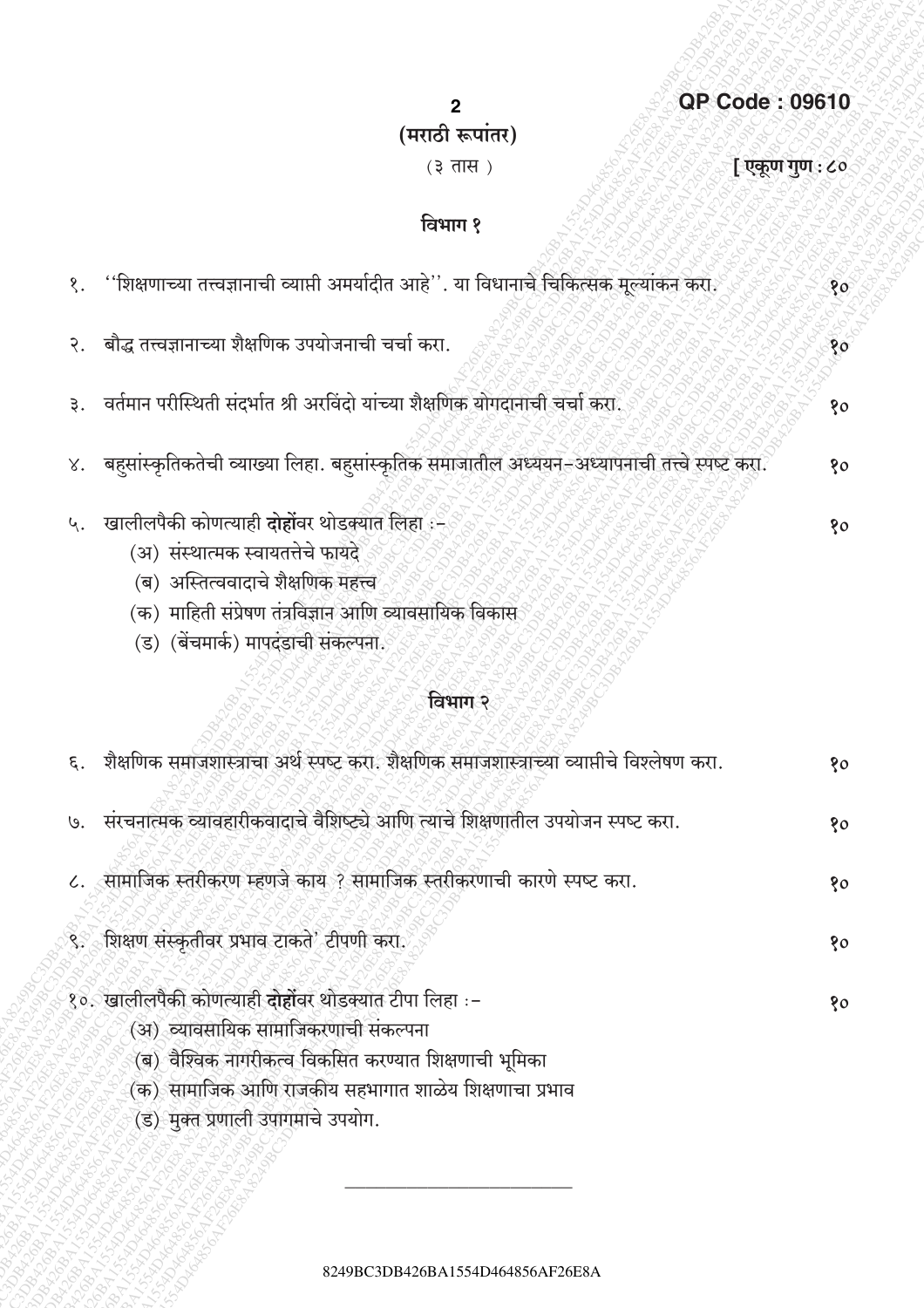|         | $\mathbf{2}$                                                                                                                                                                                                                       | <b>QP Code: 09610</b> |
|---------|------------------------------------------------------------------------------------------------------------------------------------------------------------------------------------------------------------------------------------|-----------------------|
|         | (मराठी रूपांतर)                                                                                                                                                                                                                    |                       |
|         | $(3 \overline{d})$                                                                                                                                                                                                                 | [ एकूण गुण : ८०       |
|         | विभाग १                                                                                                                                                                                                                            |                       |
| १.      | ''शिक्षणाच्या तत्त्वज्ञानाची व्याप्ती अमर्यादीत आहे''. या विधानाचे चिकित्सक मूल्यांकन करा.                                                                                                                                         | १०                    |
| २.      | बौद्ध तत्त्वज्ञानाच्या शैक्षणिक उपयोजनाची चर्चा करा.                                                                                                                                                                               | 80 <sub>o</sub>       |
| ३.      | वर्तमान परीस्थिती संदर्भात श्री अरविंदो यांच्या शैक्षणिक योगदानाची चर्चा करा.                                                                                                                                                      | 80                    |
|         | ४.   बहसांस्कृतिकतेची व्याख्या लिहा. बहसांस्कृतिक समाजातील अध्ययन–अध्यापनाची तत्त्वे स्पष्ट करा.                                                                                                                                   | १०                    |
| ५.      | खालीलपैकी कोणत्याही <b>दोहों</b> वर थोडक्यात लिहा :-<br>(अ) संस्थात्मक स्वायतत्तेचे फायदे<br>(ब)  अस्तित्ववादाचे शैक्षणिक महत्त्व<br>(क)  माहिती संप्रेषण तंत्रविज्ञान आणि व्यावसायिक विकास<br>(ड) (बेंचमार्क) मापदंडाची संकल्पना. | 80                    |
|         | विभाग २                                                                                                                                                                                                                            |                       |
| $\xi$ . | शैक्षणिक समाजशास्त्राचा अर्थ स्पष्ट करा. शैक्षणिक समाजशास्त्राच्या व्याप्तीचे विश्लेषण करा.                                                                                                                                        | १०                    |
|         | ७. संरचनात्मक व्यावहारीकवादाचे वैशिष्ट्ये आणि त्याचे शिक्षणातील उपयोजन स्पष्ट करा.                                                                                                                                                 | १०                    |
|         | ८. सामाजिक स्तरीकरण म्हणजे काय ? सामाजिक स्तरीकरणाची कारणे स्पष्ट करा.                                                                                                                                                             | १०                    |
|         | ९. शिक्षण संस्कृतीवर प्रभाव टाकते' टीपणी करा.                                                                                                                                                                                      | 80                    |
|         | १०. खालीलपैकी कोणत्याही दोहोंवर थोडक्यात टीपा लिहा :-<br>(अ) व्यावसायिक सामाजिकरणाची संकल्पना<br>(ब) वैश्विक नागरीकत्व विकसित करण्यात शिक्षणाची भूमिका<br>(क) सामाजिक आणि राजकीय सहभागात शाळेय शिक्षणाचा प्रभाव                    | १०                    |

९२८ सामा २००० हो।<br>(ड) मुक्त प्रणाली उपागमाचे उपयोग.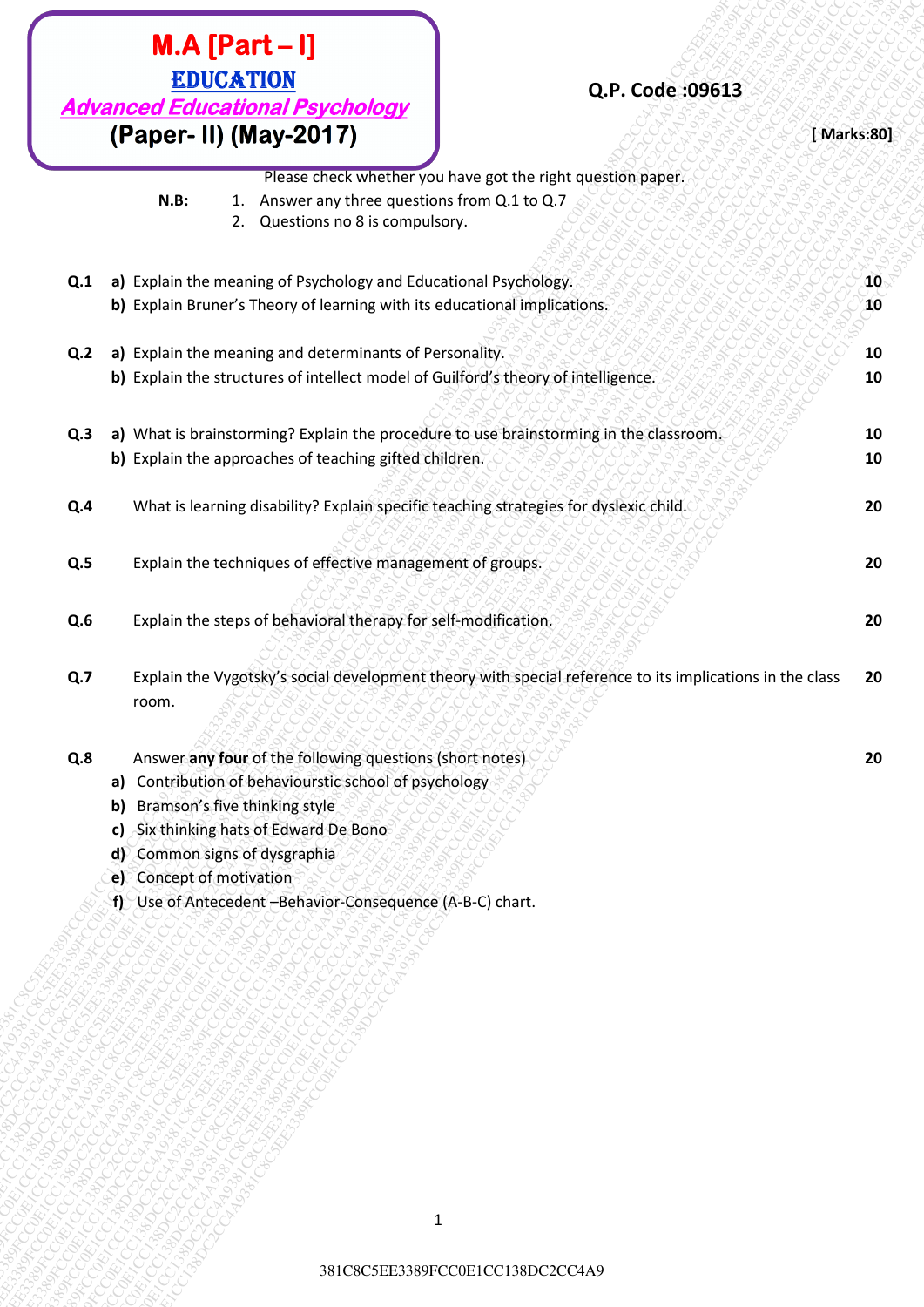| (Paper- II) (May-2017)<br>Please check whether you have got the right question paper.<br>1. Answer any three questions from Q.1 to Q.7<br>$N.B$ :<br>2. Questions no 8 is compulsory.<br>a) Explain the meaning of Psychology and Educational Psychology.<br>Q.1<br>b) Explain Bruner's Theory of learning with its educational implications.<br>a) Explain the meaning and determinants of Personality.<br>Q.2<br>b) Explain the structures of intellect model of Guilford's theory of intelligence.<br>a) What is brainstorming? Explain the procedure to use brainstorming in the classroom.<br>Q.3<br>b) Explain the approaches of teaching gifted children.<br>What is learning disability? Explain specific teaching strategies for dyslexic child.<br>Q.4<br>Explain the techniques of effective management of groups.<br>Q.5<br>Explain the steps of behavioral therapy for self-modification.<br>Q.6<br>Explain the Vygotsky's social development theory with special reference to its implications in the class<br>Q.7<br>room.<br>Answer any four of the following questions (short notes)<br>Q.8<br>Contribution of behaviourstic school of psychology<br>a)<br>Bramson's five thinking style<br>$\mathsf{b}$<br>Six thinking hats of Edward De Bono<br>c)<br>Common signs of dysgraphia<br>$d\mathcal{V}$<br>e) Concept of motivation<br>f) Use of Antecedent -Behavior-Consequence (A-B-C) chart. | <b>EDUCATION</b><br><b>Advanced Educational Psychology</b> | Q.P. Code: 09613 |                    |
|-----------------------------------------------------------------------------------------------------------------------------------------------------------------------------------------------------------------------------------------------------------------------------------------------------------------------------------------------------------------------------------------------------------------------------------------------------------------------------------------------------------------------------------------------------------------------------------------------------------------------------------------------------------------------------------------------------------------------------------------------------------------------------------------------------------------------------------------------------------------------------------------------------------------------------------------------------------------------------------------------------------------------------------------------------------------------------------------------------------------------------------------------------------------------------------------------------------------------------------------------------------------------------------------------------------------------------------------------------------------------------------------------------------------|------------------------------------------------------------|------------------|--------------------|
|                                                                                                                                                                                                                                                                                                                                                                                                                                                                                                                                                                                                                                                                                                                                                                                                                                                                                                                                                                                                                                                                                                                                                                                                                                                                                                                                                                                                                 |                                                            |                  | [ Marks:80]        |
|                                                                                                                                                                                                                                                                                                                                                                                                                                                                                                                                                                                                                                                                                                                                                                                                                                                                                                                                                                                                                                                                                                                                                                                                                                                                                                                                                                                                                 |                                                            |                  |                    |
|                                                                                                                                                                                                                                                                                                                                                                                                                                                                                                                                                                                                                                                                                                                                                                                                                                                                                                                                                                                                                                                                                                                                                                                                                                                                                                                                                                                                                 |                                                            |                  | $ 10\rangle$<br>10 |
|                                                                                                                                                                                                                                                                                                                                                                                                                                                                                                                                                                                                                                                                                                                                                                                                                                                                                                                                                                                                                                                                                                                                                                                                                                                                                                                                                                                                                 |                                                            |                  | 10<br>10           |
|                                                                                                                                                                                                                                                                                                                                                                                                                                                                                                                                                                                                                                                                                                                                                                                                                                                                                                                                                                                                                                                                                                                                                                                                                                                                                                                                                                                                                 |                                                            |                  | 10<br>10           |
|                                                                                                                                                                                                                                                                                                                                                                                                                                                                                                                                                                                                                                                                                                                                                                                                                                                                                                                                                                                                                                                                                                                                                                                                                                                                                                                                                                                                                 |                                                            |                  | 20                 |
|                                                                                                                                                                                                                                                                                                                                                                                                                                                                                                                                                                                                                                                                                                                                                                                                                                                                                                                                                                                                                                                                                                                                                                                                                                                                                                                                                                                                                 |                                                            |                  | 20                 |
|                                                                                                                                                                                                                                                                                                                                                                                                                                                                                                                                                                                                                                                                                                                                                                                                                                                                                                                                                                                                                                                                                                                                                                                                                                                                                                                                                                                                                 |                                                            |                  | 20                 |
|                                                                                                                                                                                                                                                                                                                                                                                                                                                                                                                                                                                                                                                                                                                                                                                                                                                                                                                                                                                                                                                                                                                                                                                                                                                                                                                                                                                                                 |                                                            |                  | 20                 |
|                                                                                                                                                                                                                                                                                                                                                                                                                                                                                                                                                                                                                                                                                                                                                                                                                                                                                                                                                                                                                                                                                                                                                                                                                                                                                                                                                                                                                 |                                                            |                  | 20                 |
|                                                                                                                                                                                                                                                                                                                                                                                                                                                                                                                                                                                                                                                                                                                                                                                                                                                                                                                                                                                                                                                                                                                                                                                                                                                                                                                                                                                                                 |                                                            |                  |                    |
|                                                                                                                                                                                                                                                                                                                                                                                                                                                                                                                                                                                                                                                                                                                                                                                                                                                                                                                                                                                                                                                                                                                                                                                                                                                                                                                                                                                                                 |                                                            |                  |                    |
| $\mathbf 1$                                                                                                                                                                                                                                                                                                                                                                                                                                                                                                                                                                                                                                                                                                                                                                                                                                                                                                                                                                                                                                                                                                                                                                                                                                                                                                                                                                                                     |                                                            |                  |                    |

- **e)** Concept of motivation
- **f)** Use of Antecedent –Behavior-Consequence (A-B-C) chart.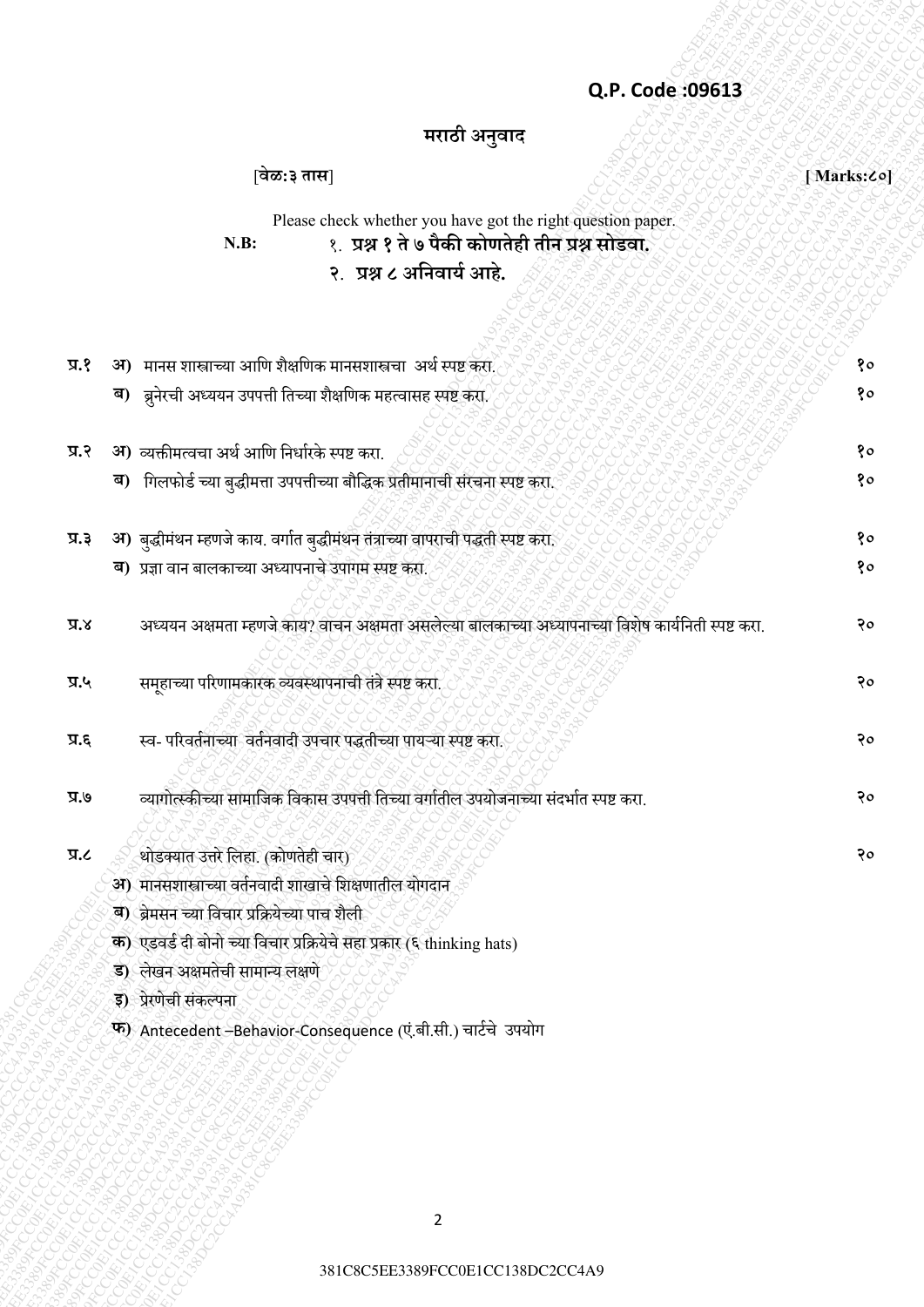## **Q.P. Code :09613**

# **मराठी अनुवाद**

|            | Q.P. Code: 09613                                                                                    |             |
|------------|-----------------------------------------------------------------------------------------------------|-------------|
|            | मराठी अनुवाद                                                                                        |             |
|            | [वेळ:३ तास]                                                                                         | [Marks: Co] |
|            | Please check whether you have got the right question paper.                                         |             |
|            | १. प्रश्न १ ते ७ पैकी कोणतेही तीन प्रश्न सोडवा.<br>$N.B$ :                                          |             |
|            | २. प्रश्न ८ अनिवार्य आहे.                                                                           |             |
|            |                                                                                                     |             |
| प्र.१      | मानस शास्त्राच्या आणि शैक्षणिक मानसशास्त्रचा  अर्थ स्पष्ट करा.<br>अ)                                | १०          |
|            | ब) ब्रुनेरची अध्ययन उपपत्ती तिच्या शैक्षणिक महत्वासह स्पष्ट करा.                                    | १०          |
|            |                                                                                                     |             |
| प्र.२      | 31) व्यक्तीमत्वचा अर्थ आणि निर्धारके स्पष्ट करा.                                                    | १०          |
|            | गिलफोर्ड च्या बुद्धीमत्ता उपपत्तीच्या बौद्धिक प्रतीमानाची संरचना स्पष्ट करा.<br>ब)                  | १०          |
| प्र.३      | अ) बुद्धीमंथन म्हणजे काय. वर्गात बुद्धीमंथन तंत्राच्या वापराची पद्धती स्पष्ट करा.                   | १०          |
|            | ब) प्रज्ञा वान बालकाच्या अध्यापनाचे उपागम स्पष्ट करा.                                               | १०          |
| x.x        | अध्ययन अक्षमता म्हणजे काय? वाचन अक्षमता असलेल्या बालकाच्या अध्यापनाच्या विशेष कार्यनिती स्पष्ट करा. | २०          |
| प्र.५      | समूहाच्या परिणामकारक व्यवस्थापनाची तंत्रे स्पष्ट करा.                                               | २०          |
| त्र.६      | स्व- परिवर्तनाच्या वर्तनवादी उपचार पद्धतीच्या पायऱ्या स्पष्ट करा.                                   | २०          |
| ७.४        | व्यागोत्स्कीच्या सामाजिक विकास उपपत्ती तिच्या वर्गातील उपयोजनाच्या संदर्भात स्पष्ट करा.             | २०          |
|            |                                                                                                     |             |
| <b>J.R</b> | थोडक्यात उत्तरे लिहा. (कोणतेही चार)<br>31) मानसशास्त्राच्या वर्तनवादी शाखाचे शिक्षणातील योगदान      | २०          |
|            | <b>ब) ब्रेमसन च्या विचार प्रक्रियेच्या पाच शैली</b>                                                 |             |
|            | क) एडवर्ड दी बोनो च्या विचार प्रक्रियेचे सहा प्रकार (६ thinking hats)                               |             |
|            | ड) लेखन अक्षमतेची सामान्य लक्षणे                                                                    |             |
|            | इ) प्रेरणेची संकल्पना                                                                               |             |
|            | फ) Antecedent - Behavior-Consequence (एं.बी.सी.) चार्टचे उपयोग                                      |             |
|            |                                                                                                     |             |
|            |                                                                                                     |             |
|            |                                                                                                     |             |
|            |                                                                                                     |             |
|            |                                                                                                     |             |
|            | $\overline{2}$                                                                                      |             |
|            |                                                                                                     |             |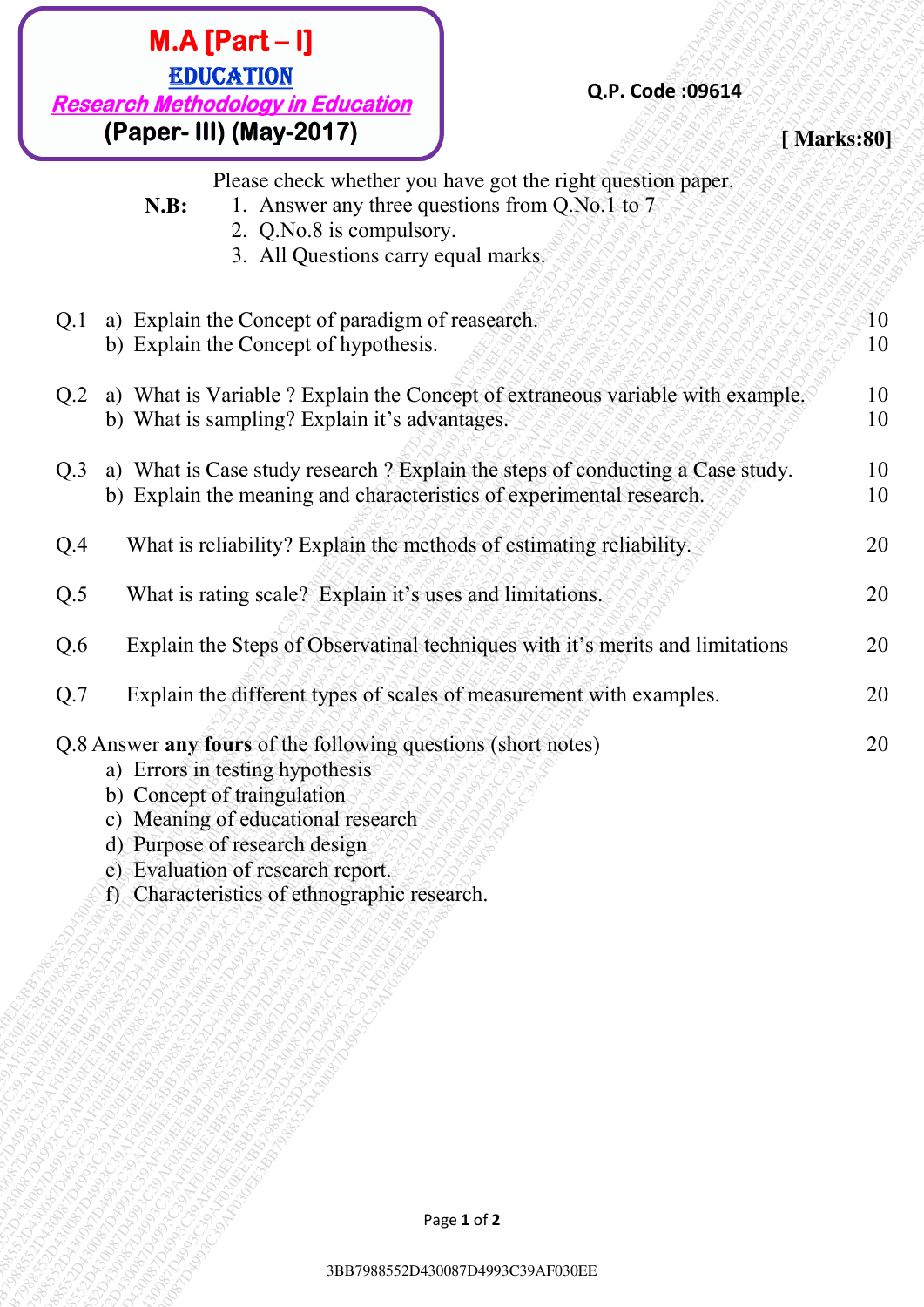# **(Paper- III) (May-2017) Depending to the set of**  $\mathbb{R}^3$  **and**  $\mathbb{R}^3$  **arises:801**

### **Q.P. Code :09614**

- **N.B:** 1. Answer any three questions from Q.No.1 to 7
	- 2. Q.No.8 is compulsory.
	- 3. All Questions carry equal marks.

| $M.A [Part-I]$<br><b>EDUCATION</b><br><b>Research Methodology in Education</b><br>(Paper- III) (May-2017)                                                                                             |                                                                                           | Q.P. Code: 09614                                                                                                                                       | [Marks:80] |
|-------------------------------------------------------------------------------------------------------------------------------------------------------------------------------------------------------|-------------------------------------------------------------------------------------------|--------------------------------------------------------------------------------------------------------------------------------------------------------|------------|
| N.B:                                                                                                                                                                                                  | 2. Q.No.8 is compulsory.<br>3. All Questions carry equal marks.                           | Please check whether you have got the right question paper.<br>1. Answer any three questions from Q.No.1 to 7                                          |            |
| Q.1                                                                                                                                                                                                   | a) Explain the Concept of paradigm of reasearch.<br>b) Explain the Concept of hypothesis. |                                                                                                                                                        | 10<br>10   |
| Q.2                                                                                                                                                                                                   | b) What is sampling? Explain it's advantages.                                             | a) What is Variable ? Explain the Concept of extraneous variable with example.                                                                         | 10<br>10   |
| Q.3                                                                                                                                                                                                   |                                                                                           | a) What is Case study research ? Explain the steps of conducting a Case study.<br>b) Explain the meaning and characteristics of experimental research. | 10<br>10   |
| Q.4                                                                                                                                                                                                   |                                                                                           | What is reliability? Explain the methods of estimating reliability.                                                                                    | 20         |
| Q.5                                                                                                                                                                                                   |                                                                                           | What is rating scale? Explain it's uses and limitations.                                                                                               | 20         |
| Q.6                                                                                                                                                                                                   |                                                                                           | Explain the Steps of Observatinal techniques with it's merits and limitations                                                                          | 20         |
| Q.7                                                                                                                                                                                                   |                                                                                           | Explain the different types of scales of measurement with examples.                                                                                    | 20         |
| Q.8 Answer any fours of the following questions (short notes)<br>a) Errors in testing hypothesis<br>b) Concept of traingulation<br>d) Purpose of research design<br>e) Evaluation of research report. | c) Meaning of educational research<br>f) Characteristics of ethnographic research.        |                                                                                                                                                        | 20         |
|                                                                                                                                                                                                       |                                                                                           | Page 1 of 2                                                                                                                                            |            |
|                                                                                                                                                                                                       |                                                                                           | 3BB7988552D430087D4993C39AF030EE                                                                                                                       |            |

- c) Meaning of educational research
- d) Purpose of research design
- e) Evaluation of research report.
- f) Characteristics of ethnographic research.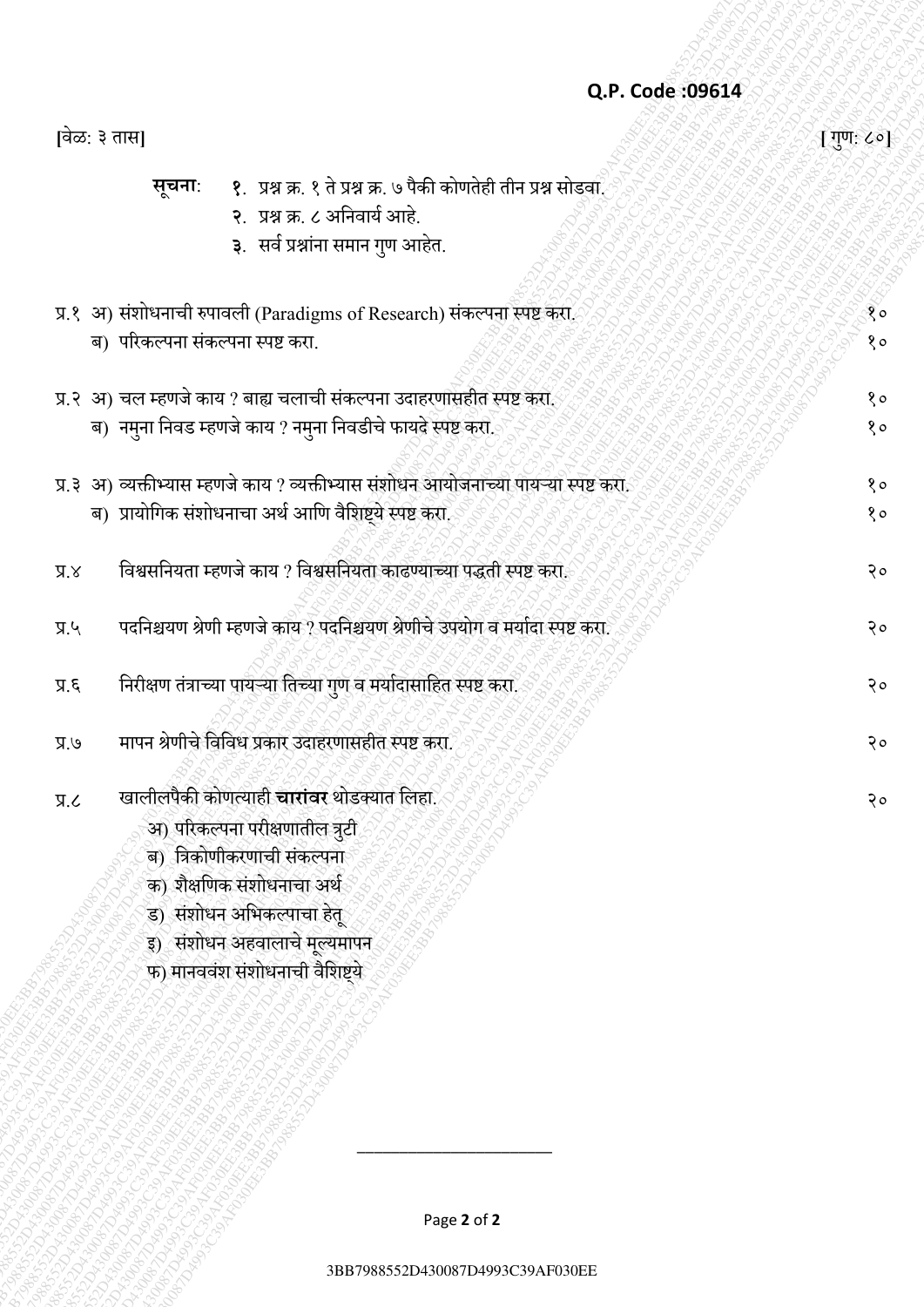## **Q.P. Code :09614**

|                  | Q.P. Code: 09614                                                                      |             |
|------------------|---------------------------------------------------------------------------------------|-------------|
| [वेळ: ३ तास]     |                                                                                       | [ गुण: ८०]  |
|                  | १.  प्रश्न क्र. १ ते प्रश्न क्र. ७ पैकी कोणतेही तीन प्रश्न सोडवा.<br>सूचना:           |             |
|                  | २. प्रश्न क्र. ८ अनिवार्य आहे.                                                        |             |
|                  | ३. सर्व प्रश्नांना समान गुण आहेत.                                                     |             |
|                  | प्र.१ अ) संशोधनाची रुपावली (Paradigms of Research) संकल्पना स्पष्ट करा.               | 80          |
|                  | ब) परिकल्पना संकल्पना स्पष्ट करा.                                                     | $8^{\circ}$ |
|                  |                                                                                       |             |
|                  | प्र.२ अ) चल म्हणजे काय ? बाह्य चलाची संकल्पना उदाहरणासहीत स्पष्ट करा.                 | $8^{\circ}$ |
|                  | ब) नमुना निवड म्हणजे काय ? नमुना निवडीचे फायदे स्पष्ट करो.                            | $8^{\circ}$ |
|                  | प्र.३ अ) व्यक्तीभ्यास म्हणजे काय ? व्यक्तीभ्यास संशोधन आयोजनाच्या पायऱ्या स्पष्ट करा. | $8^{\circ}$ |
|                  | ब) प्रायोगिक संशोधनाचा अर्थ आणि वैशिष्ट्ये स्पष्ट करा.                                | $8^{\circ}$ |
| $X.\overline{X}$ | विश्वसनियता म्हणजे काय ? विश्वसनियता काढण्याच्या पद्धती स्पष्ट करा.                   | २०          |
| $y_R$            | पदनिश्चयण श्रेणी म्हणजे काय ? पदनिश्चयण श्रेणीचे उपयोग व मर्यादा स्पष्ट करा.          | २०          |
| 7.5              | निरीक्षण तंत्राच्या पायऱ्या तिच्या गुण व मर्यादासाहित स्पष्ट करा.                     | २०          |
| $V.\overline{K}$ | मापन श्रेणीचे विविध प्रकार उदाहरणासहीत स्पष्ट करा.                                    | २०          |
| J.R              | खालीलपैकी कोणत्याही चारांवर थोडक्यात लिहा.                                            | २०          |
|                  | अ) परिकल्पना परीक्षणातील त्रुटी                                                       |             |
|                  | ब) त्रिकोणीकरणाची संकल्पना                                                            |             |
|                  | क) शैक्षणिक संशोधनाचा अर्थ                                                            |             |
|                  | ड) संशोधन अभिकल्पाचा हेतू                                                             |             |
|                  | इ) संशोधन अहवालाचे मूल्यमापन                                                          |             |
|                  | फ) मानववंश संशोधनाची वैशिष्ट्ये                                                       |             |
|                  |                                                                                       |             |
|                  |                                                                                       |             |
|                  |                                                                                       |             |
|                  |                                                                                       |             |
|                  |                                                                                       |             |
|                  |                                                                                       |             |
|                  | Page 2 of 2                                                                           |             |
|                  |                                                                                       |             |
|                  | 3BB7988552D430087D4993C39AF030EE                                                      |             |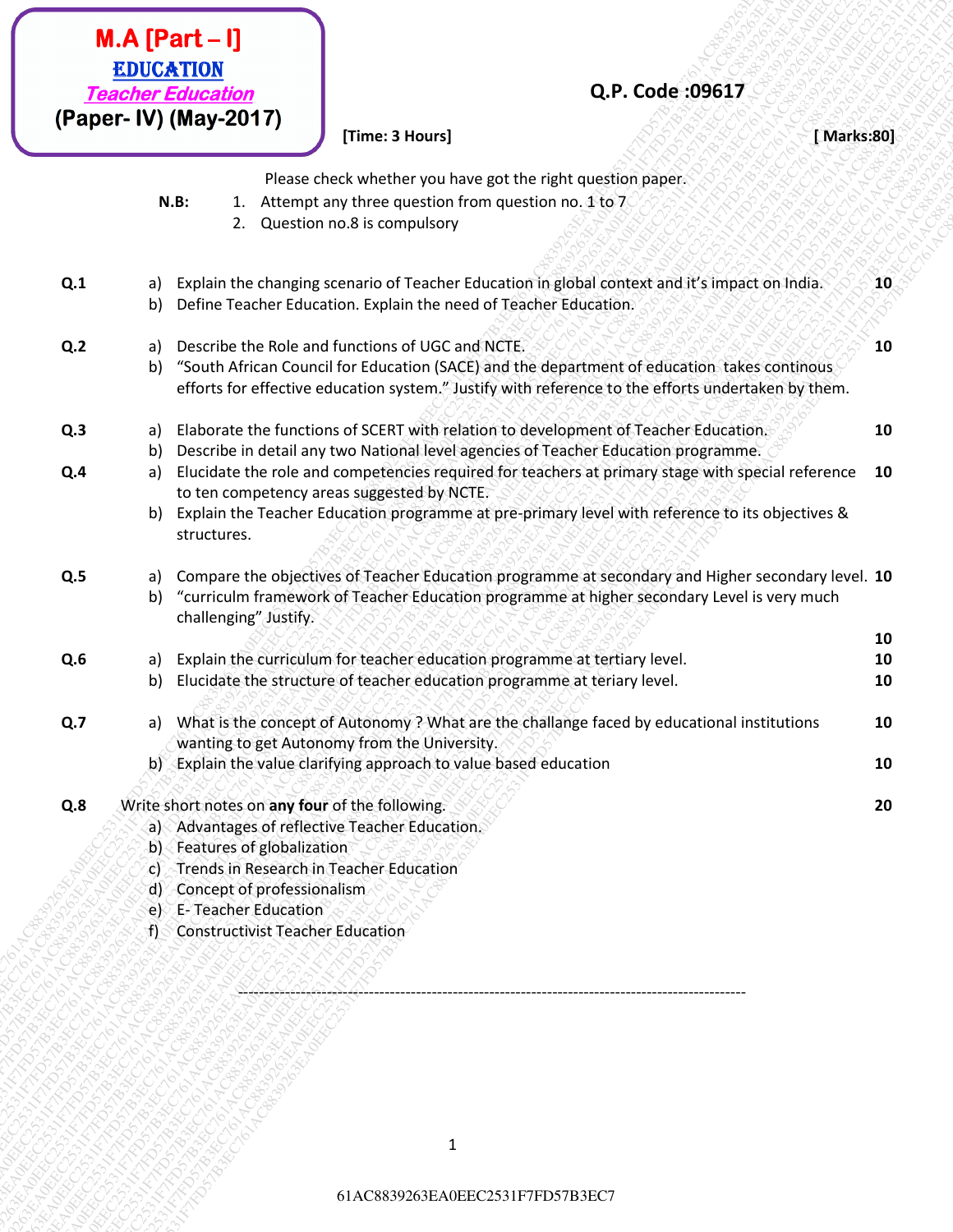|                | <b>EDUCATION</b> | $M.A [Part-I]$<br>Q.P. Code:09617<br><b>Teacher Education</b><br>(Paper- IV) (May-2017)<br>[Time: 3 Hours]<br>[Marks:80] |    |
|----------------|------------------|--------------------------------------------------------------------------------------------------------------------------|----|
|                |                  |                                                                                                                          |    |
|                |                  | Please check whether you have got the right question paper.                                                              |    |
|                |                  | Attempt any three question from question no. 1 to 7<br>$N.B$ :<br>1.<br>Question no.8 is compulsory<br>2.                |    |
|                |                  |                                                                                                                          |    |
| Q.1            | a)               | Explain the changing scenario of Teacher Education in global context and it's impact on India.                           | 10 |
|                | b)               | Define Teacher Education. Explain the need of Teacher Education.                                                         |    |
| Q <sub>2</sub> | a)               | Describe the Role and functions of UGC and NCTE.                                                                         | 10 |
|                | b)               | "South African Council for Education (SACE) and the department of education takes continous                              |    |
|                |                  | efforts for effective education system." Justify with reference to the efforts undertaken by them.                       |    |
| Q.3            | a)               | Elaborate the functions of SCERT with relation to development of Teacher Education.                                      | 10 |
|                | b)               | Describe in detail any two National level agencies of Teacher Education programme.                                       |    |
| Q.4            | a)               | Elucidate the role and competencies required for teachers at primary stage with special reference                        | 10 |
|                |                  | to ten competency areas suggested by NCTE.                                                                               |    |
|                | b)               | Explain the Teacher Education programme at pre-primary level with reference to its objectives &                          |    |
|                |                  | structures.                                                                                                              |    |
| Q.5            | a)               | Compare the objectives of Teacher Education programme at secondary and Higher secondary level. 10                        |    |
|                | b)               | "curriculm framework of Teacher Education programme at higher secondary Level is very much                               |    |
|                |                  | challenging" Justify.                                                                                                    |    |
|                |                  |                                                                                                                          | 10 |
| Q.6            | a)               | Explain the curriculum for teacher education programme at tertiary level.                                                | 10 |
|                | b)               | Elucidate the structure of teacher education programme at teriary level.                                                 | 10 |
| Q.7            | a)               | What is the concept of Autonomy? What are the challange faced by educational institutions                                | 10 |
|                |                  | wanting to get Autonomy from the University.                                                                             |    |
|                |                  | b) Explain the value clarifying approach to value based education                                                        | 10 |
| Q.8            |                  | Write short notes on any four of the following.                                                                          | 20 |
|                |                  | a) Advantages of reflective Teacher Education.                                                                           |    |
|                |                  | b) Features of globalization                                                                                             |    |
|                |                  | c) Trends in Research in Teacher Education                                                                               |    |
|                | d)               | Concept of professionalism                                                                                               |    |
|                |                  | e) E-Teacher Education                                                                                                   |    |
|                |                  | f) Constructivist Teacher Education                                                                                      |    |

Jackst **TOPICS** 

 $\mathbf 1$